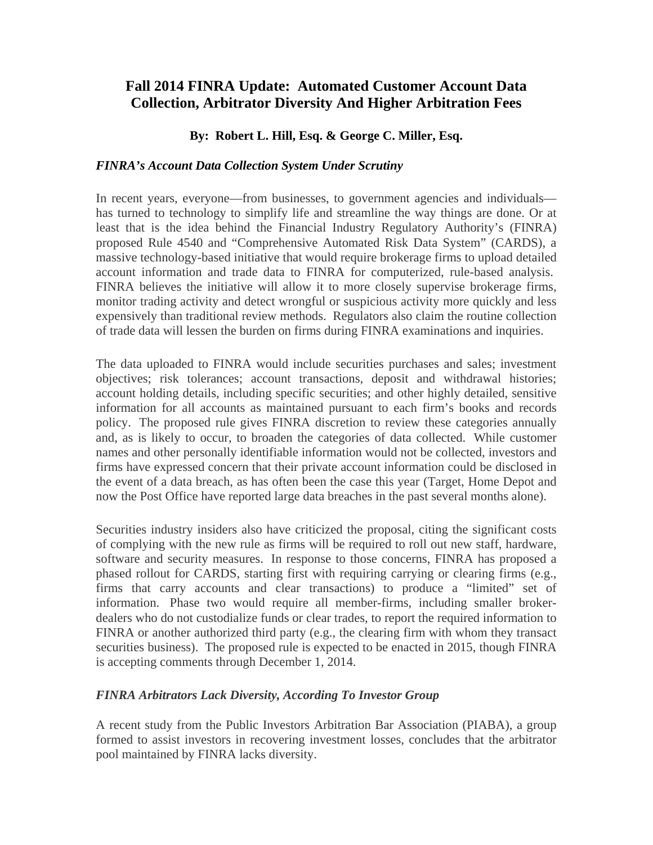# **Fall 2014 FINRA Update: Automated Customer Account Data Collection, Arbitrator Diversity And Higher Arbitration Fees**

## **By: Robert L. Hill, Esq. & George C. Miller, Esq.**

#### *FINRA's Account Data Collection System Under Scrutiny*

In recent years, everyone—from businesses, to government agencies and individuals has turned to technology to simplify life and streamline the way things are done. Or at least that is the idea behind the Financial Industry Regulatory Authority's (FINRA) proposed Rule 4540 and "Comprehensive Automated Risk Data System" (CARDS), a massive technology-based initiative that would require brokerage firms to upload detailed account information and trade data to FINRA for computerized, rule-based analysis. FINRA believes the initiative will allow it to more closely supervise brokerage firms, monitor trading activity and detect wrongful or suspicious activity more quickly and less expensively than traditional review methods. Regulators also claim the routine collection of trade data will lessen the burden on firms during FINRA examinations and inquiries.

The data uploaded to FINRA would include securities purchases and sales; investment objectives; risk tolerances; account transactions, deposit and withdrawal histories; account holding details, including specific securities; and other highly detailed, sensitive information for all accounts as maintained pursuant to each firm's books and records policy. The proposed rule gives FINRA discretion to review these categories annually and, as is likely to occur, to broaden the categories of data collected. While customer names and other personally identifiable information would not be collected, investors and firms have expressed concern that their private account information could be disclosed in the event of a data breach, as has often been the case this year (Target, Home Depot and now the Post Office have reported large data breaches in the past several months alone).

Securities industry insiders also have criticized the proposal, citing the significant costs of complying with the new rule as firms will be required to roll out new staff, hardware, software and security measures. In response to those concerns, FINRA has proposed a phased rollout for CARDS, starting first with requiring carrying or clearing firms (e.g., firms that carry accounts and clear transactions) to produce a "limited" set of information. Phase two would require all member-firms, including smaller brokerdealers who do not custodialize funds or clear trades, to report the required information to FINRA or another authorized third party (e.g., the clearing firm with whom they transact securities business). The proposed rule is expected to be enacted in 2015, though FINRA is accepting comments through December 1, 2014.

### *FINRA Arbitrators Lack Diversity, According To Investor Group*

A recent study from the Public Investors Arbitration Bar Association (PIABA), a group formed to assist investors in recovering investment losses, concludes that the arbitrator pool maintained by FINRA lacks diversity.